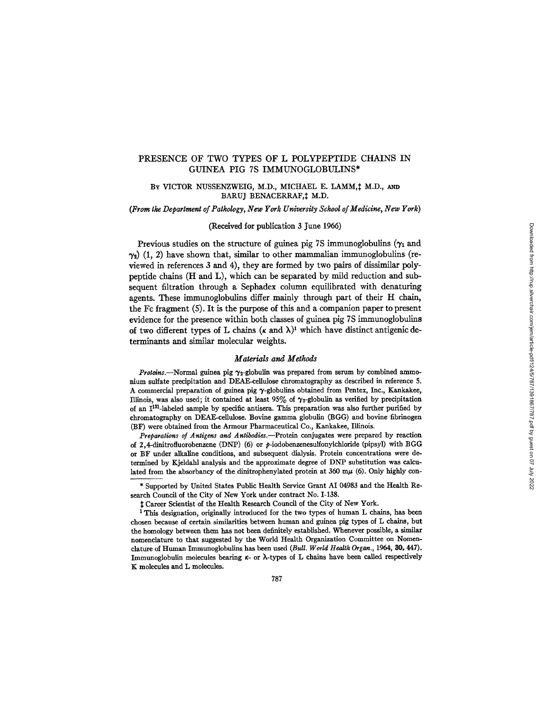# PRESENCE OF TWO TYPES OF L POLYPEPTIDE CHAINS IN GUINEA PIG 7S IMMUNOGLOBULINS\*

## BY VICTOR NUSSENZWEIG, M.D., MICHAEL E. LAMM, # M.D., AND BARUJ BENACERRAF, † M.D.

## *(From tke Department of Pathology, New York University School of Medicine, New York)*

## (Received for publication 3 June 1966)

Previous studies on the structure of guinea pig 7S immunoglobulins ( $\gamma_1$  and  $\gamma_2$ ) (1, 2) have shown that, similar to other mammalian immunoglobulins (reviewed in references 3 and 4), they are formed by two pairs of dissimilar polypeptide chains (H and L), which can be separated by mild reduction and subsequent filtration through a Sephadex column equilibrated with denaturing agents. These immunoglobulins differ mainly through part of their H chain, the Fc fragment (5). It is the purpose of this and a companion paper to present evidence for the presence within both classes of guinea pig 7S immunoglobulins of two different types of L chains ( $\kappa$  and  $\lambda$ )<sup>1</sup> which have distinct antigenic determinants and similar molecular weights.

#### *Materials and Methods*

*Proteins.*--Normal guinea pig  $\gamma_2$ -globulin was prepared from serum by combined ammonium sulfate precipitation and DEAE-cellulose chromatography as described in reference 5. A commercial preparation of guinea pig  $\gamma$ -globulins obtained from Pentex, Inc., Kankakee, Illinois, was also used; it contained at least 95% of  $\gamma_2$ -globulin as verified by precipitation of an  $I^{131}$ -labeled sample by specific antisera. This preparation was also further purified by chromatography on DEAE-cellulose. Bovine gamma globulin (BGG) and bovine fibrinogen (BF) were obtained from the Armour Pharmaceutical Co., Kankakee, Illinois.

Preparations of Antigens and Antibodies.--Protein conjugates were prepared by reaction of 2,4-dinitrofluorobenzene (DNP) (6) or  $p$ -iodobenzenesulfonylchloride (pipsyl) with BGG or BF under alkaline conditions, and subsequent dialysis. Protein concentrations were determined by Kjeldahl analysis and the approximate degree of DN'P substitution was calculated from the absorbancy of the dinitrophenylated protein at  $360 \text{ m}\mu$  (6). Only highly con-

<sup>\*</sup> Supported by United States Public Health Service Grant AI 04983 and the Health Research Council of the City of New York under contract No. 1-138.

Career Scientist of the Health Research Council of the City of New York.

<sup>&</sup>lt;sup>1</sup> This designation, originally introduced for the two types of human L chains, has been chosen because of certain similarities between human and guinea pig types of L chains, but the homology between them has not been definitely established. Whenever possible, a similar nomenclature to that suggested by the World Health Organization Committee on Nomenclature of Human Immunoglobulins has been used *(Bull. World Health Organ.,* 1964, 30, 447). Immunoglobulin molecules bearing  $\kappa$ - or  $\lambda$ -types of L chains have been called respectively K molecules and L molecules.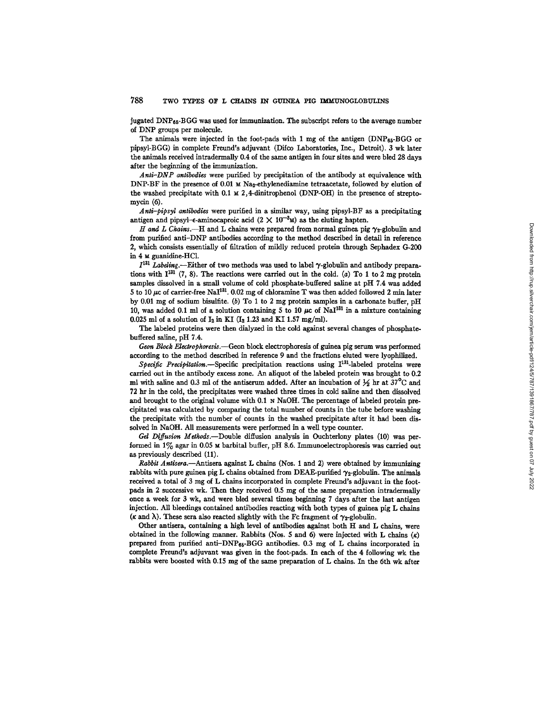jugated DNPss-B GG was used for immunization. The subscript refers to the average number of DNP groups per molecule.

The animals were injected in the foot-pads with 1 mg of the antigen  $(DNP_{65} - BGG)$  or pipsyl-BGG) in complete Freund's adjuvant (Difco Laboratories, Inc., Detroit). 3 wk later the animals received intradermally 0.4 of the same antigen in four sites and were bled 28 days after the beginning of the immunization.

Anti-DNP antibodies were purified by precipitation of the antibody at equivalence with DNP-BF in the presence of 0.01  $\text{M Na}_2$ -ethylenediamine tetraacetate, followed by elution of the washed precipitate with  $0.1 \times 2$ , 4-dinitrophenol (DNP-OH) in the presence of streptomycin (6).

*Anti-pipsyl antibodies* were purified in a similar way, using pipsyl-BF as a precipitating antigen and pipsyl- $\epsilon$ -aminocaproic acid  $(2 \times 10^{-3} \text{m})$  as the eluting hapten.

*H* and *L* Chains.—H and *L* chains were prepared from normal guinea pig  $\gamma_2$ -globulin and from purified anti-DNP antibodies according to the method described in detail in reference 2, which consists essentially of filtration of mildly reduced protein through Sephadex G-200 in 4 M guanidine-HC1.

 $I^{131}$  *Labeling.*—Either of two methods was used to label  $\gamma$ -globulin and antibody preparations with  $I^{131}$  (7, 8). The reactions were carried out in the cold. (a) To 1 to 2 mg protein samples dissolved in a small volume of cold phosphate-buffered saline at pH 7.4 was added 5 to 10  $\mu$ c of carrier-free NaI $^{131}$ . 0.02 mg of chloramine T was then added followed 2 min later by 0.01 mg of sodium bisulfite. (b) To 1 to 2 mg protein samples in a carbonate buffer, pH 10, was added 0.1 ml of a solution containing 5 to 10  $\mu$ c of NaI<sup>131</sup> in a mixture containing 0.025 ml of a solution of  $I_2$  in KI ( $I_2$  1.23 and KI 1.57 mg/ml).

The labeled proteins were then dialyzed in the cold against several changes of phosphatebuffered saline, pH 7.4.

*Geon Block Elearophoresls.--Geon* block electrophoresis of guinea pig serum was performed according to the method described in reference 9 and the fractions eluted were lyophilized.

Specific Precipitation.--Specific precipitation reactions using I<sup>131</sup>-labeled proteins were carried out in the antibody excess zone. An aliquot of the labeled protein was brought to 0.2 ml with saline and 0.3 ml of the antiserum added. After an incubation of  $\frac{1}{2}$  hr at 37°C and 72 hr in the cold, the precipitates were washed three times in cold saline and then dissolved and brought to the original volume with 0.1 N NaOH. The percentage of labeled protein precipitated was calculated by comparing the total number of counts in the tube before washing the precipitate with the number of counts in the washed precipitate after it had been dissolved in NaOH. All measurements were performed in a well type counter.

*Gel Diffusion Methods.*--Double diffusion analysis in Ouchterlony plates (10) was performed in 1% agar in 0.05 u barbital buffer, pH 8.6. Immunoelectrophoresis was carried out as previously described (11).

*Rabbit Antisera.*—Antisera against L chains (Nos. 1 and 2) were obtained by immunizing rabbits with pure guinea pig L chains obtained from DEAE-purified  $\gamma_{2}$ -globulin. The animals received a total of 3 mg of L chains incorporated in complete Freund's adjuvant in the footpads in 2 successive wk. Then they received 0.5 mg of the same preparation intradermally once a week for 3 wk, and were bled several times beginning 7 days after the last antigen injection. All bleedings contained antibodies reacting with both types of guinea pig L chains ( $\kappa$  and  $\lambda$ ). These sera also reacted slightly with the Fc fragment of  $\gamma_2$ -globulin.

Other antisera, containing a high level of antibodies against both H and L chains, were obtained in the following manner. Rabbits (Nos. 5 and 6) were injected with L chains  $(\kappa)$ prepared from purified anti-DNPes-BGG antibodies. 0.3 mg of L chains incorporated in complete Freund's adjuvant was given in the foot-pads. In each of the 4 following wk the rabbits were boosted with 0.15 mg of the same preparation of L chains. In the 6th wk after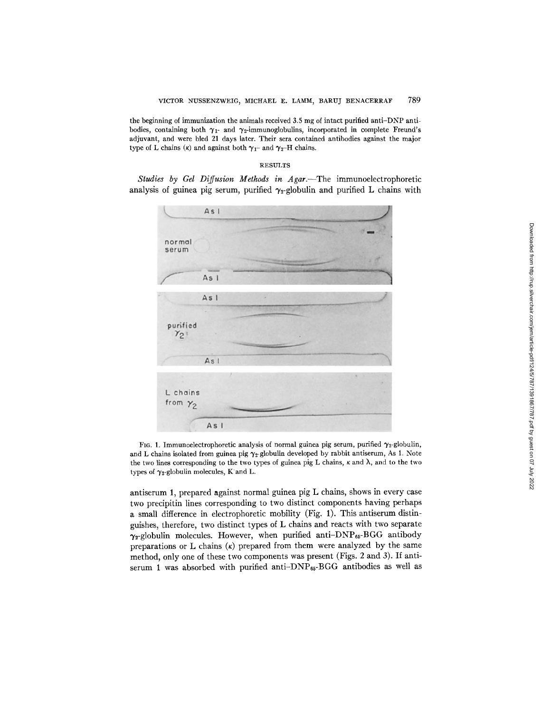the beginning of immunization the animals received 3.5 mg of intact purified anti-DNP antibodies, containing both  $\gamma_1$ - and  $\gamma_2$ -immunoglobulins, incorporated in complete Freund's adjuvant, and were bled 21 days later. Their sera contained antibodies against the major type of L chains ( $\kappa$ ) and against both  $\gamma_1$ - and  $\gamma_2$ -H chains.

#### RESULTS

Studies by Gel Diffusion Methods in Agar.--The immunoelectrophoretic analysis of guinea pig serum, purified  $\gamma_2$ -globulin and purified L chains with



FIG. 1. Immunoelectrophoretic analysis of normal guinea pig serum, purified  $\gamma_2$ -globulin, and L chains isolated from guinea pig  $\gamma_2$ -globulin developed by rabbit antiserum, As 1. Note the two lines corresponding to the two types of guinea pig L chains,  $\kappa$  and  $\lambda$ , and to the two types of  $\gamma_2$ -globulin molecules, K and L.

antiserum 1, prepared against normal guinea pig L chains, shows in every case two precipitin lines corresponding to two distinct components having perhaps a small difference in electrophoretic mobility (Fig. 1). This antiserum distinguishes, therefore, two distinct types of L chains and reacts with two separate  $\gamma_2$ -globulin molecules. However, when purified anti-DNP<sub>65</sub>-BGG antibody preparations or  $L$  chains  $(\kappa)$  prepared from them were analyzed by the same method, only one of these two components was present (Figs. 2 and 3). If antiserum 1 was absorbed with purified anti- $DNP_{65}$ -BGG antibodies as well as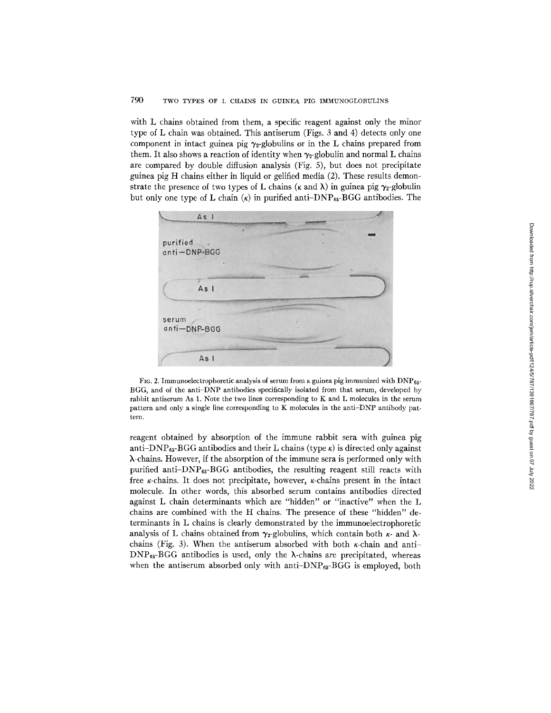## 790 TWO TYPES OF L CHAINS IN GUINEA PIG IMMUNOGLOBULINS

with L chains obtained from them, a specific reagent against only the minor type of L chain was obtained. This antiserum (Figs. 3 and 4) detects only one component in intact guinea pig  $\gamma_2$ -globulins or in the L chains prepared from them. It also shows a reaction of identity when  $\gamma_2$ -globulin and normal L chains are compared by double diffusion analysis (Fig. 5), but does not precipitate guinea pig H chains either in liquid or gelified media (2). These results demonstrate the presence of two types of L chains ( $\kappa$  and  $\lambda$ ) in guinea pig  $\gamma_2$ -globulin but only one type of L chain  $(\kappa)$  in purified anti-DNP<sub>65</sub>-BGG antibodies. The



FIG. 2. Immunoelectrophoretic analysis of serum from a guinea pig immunized with  $DNP_{65}$ -BGG, and of the anti-DNP antibodies specifically isolated from that serum, developed by rabbit antiserum As I. Note the two lines corresponding to K and L molecules in the serum pattern and only a single line corresponding to K molecules in the anti-DNP antibody pattern.

reagent obtained by absorption of the immune rabbit sera with guinea pig anti-DNP $_{65}$ -BGG antibodies and their L chains (type  $\kappa$ ) is directed only against X-chains. However, if the absorption of the immune sera is performed only with purified anti- $DNP_{65}$ -BGG antibodies, the resulting reagent still reacts with free  $\kappa$ -chains. It does not precipitate, however,  $\kappa$ -chains present in the intact molecule. In other words, this absorbed serum contains antibodies directed against L chain determinants which are "hidden" or "inactive" when the L chains are combined with the H chains. The presence of these "hidden" determinants in L chains is clearly demonstrated by the immunoelectrophoretic analysis of L chains obtained from  $\gamma_2$ -globulins, which contain both  $\kappa$ - and  $\lambda$ chains (Fig. 3). When the antiserum absorbed with both  $\kappa$ -chain and anti- $DNP_{65}$ -BGG antibodies is used, only the  $\lambda$ -chains are precipitated, whereas when the antiserum absorbed only with anti- $\text{DNP}_{65}$ -BGG is employed, both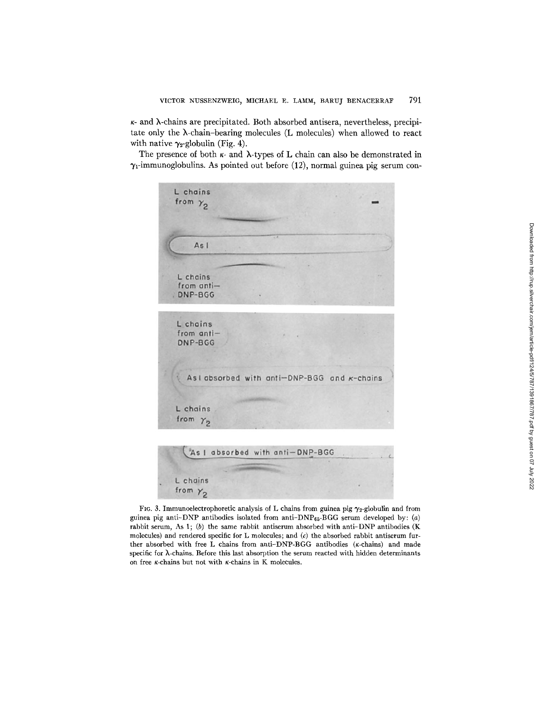$\kappa$ - and  $\lambda$ -chains are precipitated. Both absorbed antisera, nevertheless, precipitate only the  $\lambda$ -chain-bearing molecules (L molecules) when allowed to react with native  $\gamma_2$ -globulin (Fig. 4).

The presence of both  $\kappa$ - and  $\lambda$ -types of L chain can also be demonstrated in  $\gamma_1$ -immunoglobulins. As pointed out before (12), normal guinea pig serum con-



FIG. 3. Immunoelectrophoretic analysis of L chains from guinea pig  $\gamma_2$ -globulin and from guinea pig anti-DNP antibodies isolated from anti-DNP $_{65}$ -BGG serum developed by: (a) rabbit serum, As 1;  $(b)$  the same rabbit antiserum absorbed with anti-DNP antibodies (K molecules) and rendered specific for L molecules; and  $(c)$  the absorbed rabbit antiserum further absorbed with free L chains from anti-DNP-BGG antibodies (K-chains) and made specific for  $\lambda$ -chains. Before this last absorption the serum reacted with hidden determinants on free  $\kappa$ -chains but not with  $\kappa$ -chains in K molecules.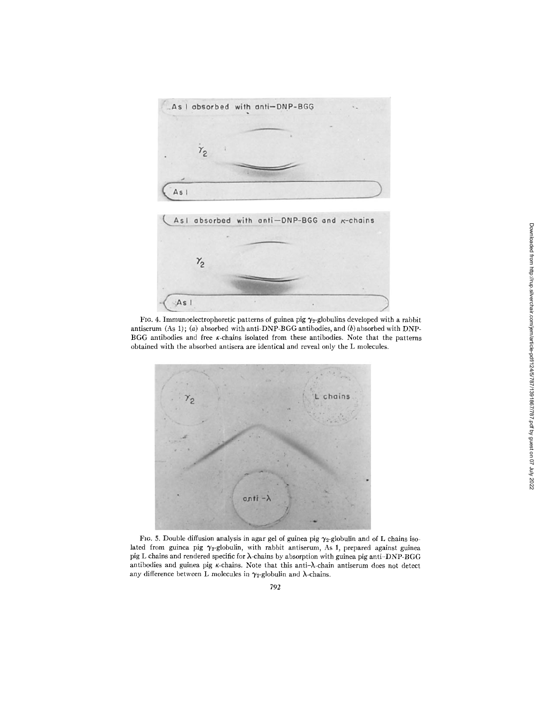

FIG. 4. Immunoelectrophoretic patterns of guinea pig  $\gamma_2$ -globulins developed with a rabbit antiserum (As 1); (a) absorbed with anti-DNP-BGG antibodies, and (b) absorbed with DNP-BGG antibodies and free K-chains isolated from these antibodies. Note that the patterns obtained with the absorbed antisera are identical and reveal only the L molecules.



FIG. 5. Double diffusion analysis in agar gel of guinea pig  $\gamma_2$ -globulin and of L chains isolated from guinea pig  $\gamma_2$ -globulin, with rabbit antiserum, As 1, prepared against guinea pig L chains and rendered specific for X-chains by absorption with guinea pig anti-DNP-BGG antibodies and guinea pig  $\kappa$ -chains. Note that this anti- $\lambda$ -chain antiserum does not detect any difference between L molecules in  $\gamma_2$ -globulin and  $\lambda$ -chains.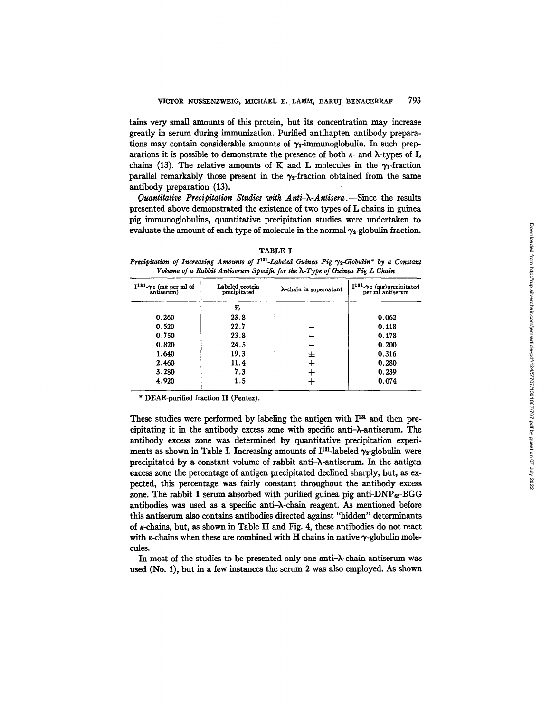tains very small amounts of this protein, but its concentration may increase greatly in serum during immunization. Purified antihapten antibody preparations may contain considerable amounts of  $\gamma_1$ -immunoglobulin. In such preparations it is possible to demonstrate the presence of both  $\kappa$ - and  $\lambda$ -types of L chains (13). The relative amounts of K and L molecules in the  $\gamma_1$ -fraction parallel remarkably those present in the  $\gamma$ -fraction obtained from the same antibody preparation (13).

*Quantitative Precipitation Studies with Anti-k-Antisera.--Since* the results presented above demonstrated the existence of two types of L chains in guinea pig {mmunoglobnllns, quantitative precipitation studies were undertaken to evaluate the amount of each type of molecule in the normal  $\gamma_2$ -globulin fraction.

| $I^{181}$ - $\gamma_2$ (mg per ml of antiserum) | Labeled protein<br>precipitated | λ-chain in supernatant | $I^{131}$ - $\gamma_2$ (mg) precipitated<br>per ml antiserum |
|-------------------------------------------------|---------------------------------|------------------------|--------------------------------------------------------------|
|                                                 | %                               |                        |                                                              |
| 0.260                                           | 23.8                            |                        | 0.062                                                        |
| 0.520                                           | 22.7                            |                        | 0.118                                                        |
| 0.750                                           | 23.8                            |                        | 0.178                                                        |
| 0.820                                           | 24.5                            |                        | 0.200                                                        |
| 1.640                                           | 19.3                            | ᆂ                      | 0.316                                                        |
| 2.460                                           | 11.4                            | ┿                      | 0.280                                                        |
| 3.280                                           | 7.3                             |                        | 0.239                                                        |
| 4.920                                           | 1.5                             |                        | 0.074                                                        |

TABLE I

*Precipitation of Increasing Amounts of*  $I^{131}$ *-Labeled Guinea Pig*  $\gamma_2$ *-Globulin\* by a Constant Volume of a Rabbit Antiserum Specific for the k-Type of Guinea Pig L Chain* 

\* DEAE-purified fraction II (Pentex).

These studies were performed by labeling the antigen with  $I<sup>31</sup>$  and then precipitating it in the antibody excess zone with specific anti- $\lambda$ -antiserum. The antibody excess zone was determined by quantitative precipitation experiments as shown in Table I. Increasing amounts of  $I^{131}$ -labeled  $\gamma_2$ -globulin were precipitated by a constant volume of rabbit anti- $\lambda$ -antiserum. In the antigen excess zone the percentage of antigen precipitated declined sharply, but, as expected, this percentage was fairly constant throughout the antibody excess zone. The rabbit 1 serum absorbed with purified guinea pig anti- $\text{DNP}_{65}$ -BGG antibodies was used as a specific anti-X-chain reagent. As mentioned before this antiserum also contains antibodies directed against "hidden" determinants of K-chains, but, as shown in Table II and Fig. 4, these antibodies do not react with  $\kappa$ -chains when these are combined with H chains in native  $\gamma$ -globulin molecules.

In most of the studies to be presented only one anti- $\lambda$ -chain antiserum was used (No. 1), but in a few instances the serum 2 was also employed. As shown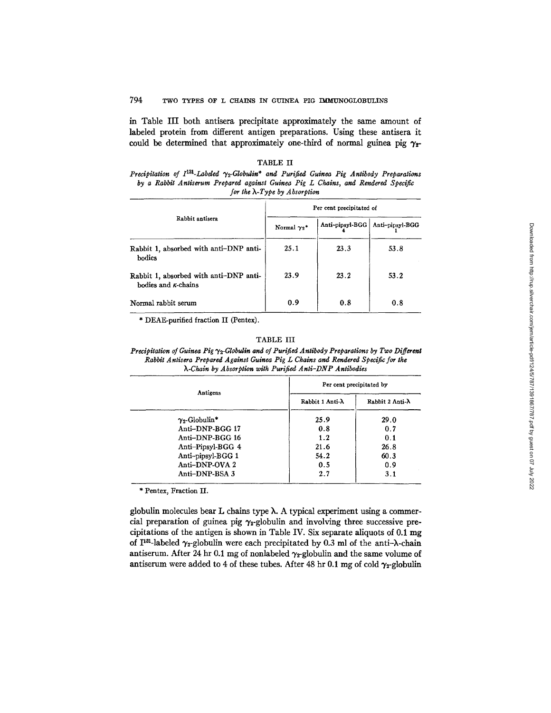## 794 TWO TYPES OF L CHAINS IN GUINEA PIG TMM'UNOGLOBULINS

in Table III both antisera precipitate approximately the same amount of labeled protein from different antigen preparations. Using these antisera it could be determined that approximately one-third of normal guinea pig  $\gamma$ <sub>2</sub>-

## TABLE II

*Precipitation of*  $I^{131}$ *-Labeled*  $\gamma_2$ *-Globulin<sup>\*</sup> and Purified Guinea Pig Antibody Preparations by a Rabbit Antiserum Prepared against Guinea Pig L Chains, and Rendered Specific for the X-Type by Absorption* 

|                                                                       | Per cent precipitated of       |                 |                 |
|-----------------------------------------------------------------------|--------------------------------|-----------------|-----------------|
| Rabbit antisera                                                       | Normal $\gamma_2$ <sup>*</sup> | Anti-pipsyl-BGG | Anti-pipsyl-BGG |
| Rabbit 1, absorbed with anti-DNP anti-<br>bodies                      | 25.1                           | 23.3            | 53.8            |
| Rabbit 1, absorbed with anti-DNP anti-<br>hodies and $\kappa$ -chains | 23.9                           | 23.2            | 53.2            |
| Normal rabbit serum                                                   | 0.9                            | 0.8             | 0.8             |

\* DEAE-purified fraction II (Pentex).

#### TABLE HI

*Precipitation of Guinea Pig "12-Globulin and of Purified Antibody Preparations by Two Different Rabbit Antisera Prepared Against Guinea Pig L Chains and Rendered Specific for the k-Chain by Absorption with Purified Anti-DNP Antibodies* 

|                       | Per cent precipitated by |                          |  |
|-----------------------|--------------------------|--------------------------|--|
| Antigens              | Rabbit 1 Anti- $\lambda$ | Rabbit 2 Anti- $\lambda$ |  |
| $\gamma_2$ -Globulin* | 25.9                     | 29.0                     |  |
| Anti-DNP-BGG 17       | 0.8                      | 0.7                      |  |
| Anti-DNP-BGG 16       | 1.2                      | 0.1                      |  |
| Anti-Pipsyl-BGG 4     | 21.6                     | 26.8                     |  |
| Anti-pipsyl-BGG 1     | 54.2                     | 60.3                     |  |
| Anti-DNP-OVA 2        | 0.5                      | 0.9                      |  |
| Anti-DNP-BSA 3        | 2.7                      | 3.1                      |  |

\* Pentex, Fraction II.

globulin molecules bear  $L$  chains type  $\lambda$ . A typical experiment using a commercial preparation of guinea pig  $\gamma_2$ -globulin and involving three successive precipitations of the antigen is shown in Table IV. Six separate aliquots of 0.1 mg of I<sup>131</sup>-labeled  $\gamma_2$ -globulin were each precipitated by 0.3 ml of the anti- $\lambda$ -chain antiserum. After 24 hr 0.1 mg of nonlabeled  $\gamma_z$ -globulin and the same volume of antiserum were added to 4 of these tubes. After 48 hr 0.1 mg of cold  $\gamma_2$ -globulin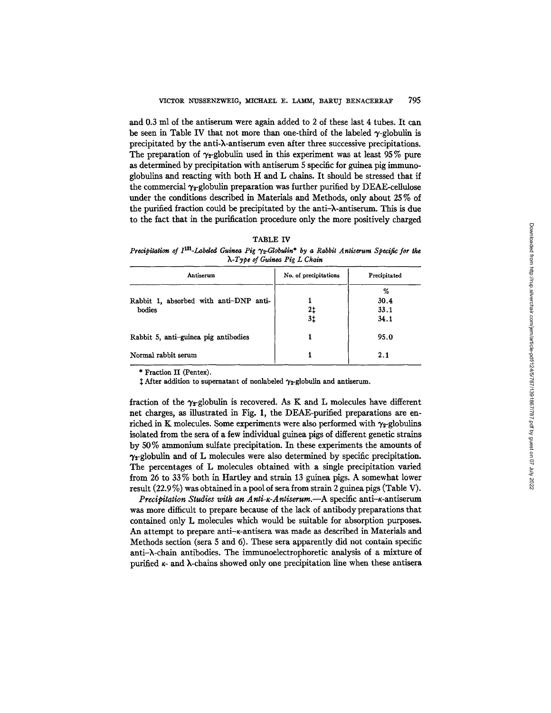and 0.3 ml of the antiserum were again added to 2 of these last 4 tubes. It can be seen in Table IV that not more than one-third of the labeled  $\gamma$ -globulin is precipitated by the anti-k-antiserum even after three successive precipitations. The preparation of  $\gamma_2$ -globulin used in this experiment was at least 95% pure as determined by precipitation with antiserum 5 specific for guinea pig immunoglobulins and reacting with both H and L chains. It should be stressed that if the commercial  $\gamma_2$ -globulin preparation was further purified by DEAE-cellulose under the conditions described in Materials and Methods, only about 25 % of the purified fraction could be precipitated by the anti-k-antiserum. This is due to the fact that in the purification procedure only the more positively charged

| ш<br>r.<br>٠ |  |
|--------------|--|
|--------------|--|

*Precipitation of I<sup>131</sup>-Labeled Guinea Pig*  $\gamma_2$ *-Globulin<sup>\*</sup> by a Rabbit Antiserum Specific for the X-Type of Guinea Pig L Chain* 

| Antiserum                                        | No. of precipitations | Precipitated              |
|--------------------------------------------------|-----------------------|---------------------------|
| Rabbit 1, absorbed with anti-DNP anti-<br>bodies | 21<br>31              | %<br>30.4<br>33.1<br>34.1 |
| Rabbit 5, anti-guinea pig antibodies             |                       | 95.0                      |
| Normal rabbit serum                              |                       | 2.1                       |

\* Fraction II (Pentex).

 $\dagger$  After addition to supernatant of nonlabeled  $\gamma_2$ -globulin and antiserum.

fraction of the  $\gamma$ -globulin is recovered. As K and L molecules have different net charges, as illustrated in Fig. 1, the DEAE-purified preparations are enriched in K molecules. Some experiments were also performed with  $\gamma_{2}$ -globulins isolated from the sera of a few individual guinea pigs of different genetic strains by 50% ammonium sulfate precipitation. In these experiments the amounts of  $\gamma_2$ -globulin and of L molecules were also determined by specific precipitation. The percentages of L molecules obtained with a single precipitation varied from 26 to 33 % both in Harfley and strain 13 guinea pigs. A somewhat lower result (22.9 %) was obtained in a pool of sera from strain 2 guinea pigs (Table V).

*Precipitation Studies with an Anti-K-Antiserum.--A* specific anti-K-antiserum was more difficult to prepare because of the lack of antibody preparations that contained only L molecules which would be suitable for absorption purposes. An attempt to prepare anti- $\kappa$ -antisera was made as described in Materials and Methods section (sera 5 and 6). These sera apparently did not contain specific anti-X-chain antibodies. The immunoelectrophoretic analysis of a mixture of purified  $\kappa$ - and  $\lambda$ -chains showed only one precipitation line when these antisera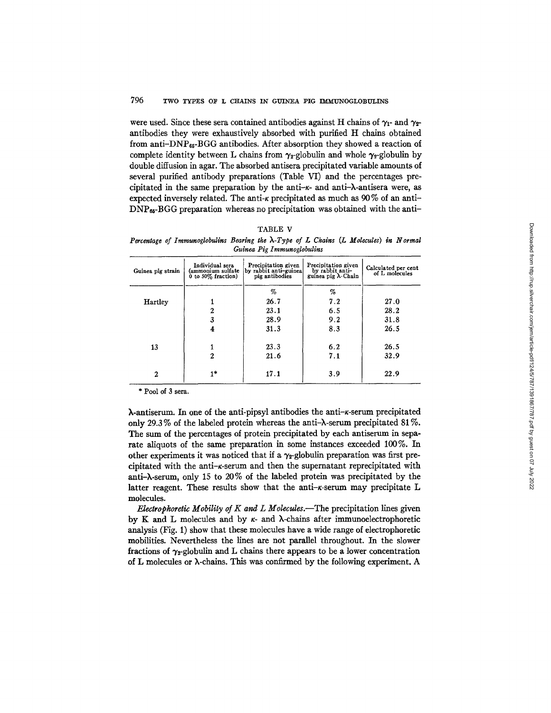## 796 TWO TYPES OF L CHAINS IN GUINEA PIG IMMUNOGLOBULINS

were used. Since these sera contained antibodies against H chains of  $\gamma_1$ - and  $\gamma_2$ antibodies they were exhaustively absorbed with purified H chains obtained from anti-DNPes-BGG antibodies. After absorption they showed a reaction of complete identity between L chains from  $\gamma_2$ -globulin and whole  $\gamma_2$ -globulin by double diffusion in agar. The absorbed antisera precipitated variable amounts of several purified antibody preparations (Table VI) and the percentages precipitated in the same preparation by the anti- $\kappa$ - and anti- $\lambda$ -antisera were, as expected inversely related. The anti- $\kappa$  precipitated as much as 90% of an anti- $DNP<sub>65</sub>-BGG$  preparation whereas no precipitation was obtained with the anti-

| .B<br>۱Ι |  |
|----------|--|
|----------|--|

*Percentage of Immunoglobulins Bearing the X-Type of L Chains (L Molecules) in Normal Guinea Pig Immunoglobulins* 

| Guinea pig strain | Individual sera<br>(ammonium sulfate<br>$\dot{\theta}$ to 50% fraction) | Precipitation given<br>by rabbit anti-guinea<br>pig antibodies | Precipitation given<br>by rabbit anti-<br>guinea pig $\lambda$ Chain | Calculated per cent<br>of L molecules |
|-------------------|-------------------------------------------------------------------------|----------------------------------------------------------------|----------------------------------------------------------------------|---------------------------------------|
|                   |                                                                         | %                                                              | %                                                                    |                                       |
| <b>Hartley</b>    |                                                                         | 26.7                                                           | 7.2                                                                  | 27.0                                  |
|                   | 2                                                                       | 23.1                                                           | 6.5                                                                  | 28.2                                  |
|                   | 3                                                                       | 28.9                                                           | 9.2                                                                  | 31.8                                  |
|                   | 4                                                                       | 31.3                                                           | 8.3                                                                  | 26.5                                  |
|                   |                                                                         |                                                                |                                                                      |                                       |
| 13                |                                                                         | 23.3                                                           | 6.2                                                                  | 26.5                                  |
|                   | $\mathfrak{D}$                                                          | 21.6                                                           | 7.1                                                                  | 32.9                                  |
| $\boldsymbol{2}$  | 1*                                                                      | 17.1                                                           | 3.9                                                                  | 22.9                                  |

\* Pool of 3 sera.

 $\lambda$ -antiserum. In one of the anti-pipsyl antibodies the anti- $\kappa$ -serum precipitated only 29.3% of the labeled protein whereas the anti- $\lambda$ -serum precipitated 81%. The sum of the percentages of protein precipitated by each antiserum in separate aiiquots of the same preparation in some instances exceeded 100%. In other experiments it was noticed that if a  $\gamma$ -globulin preparation was first precipitated with the anti-r-serum and then the supernatant reprecipitated with anti-X-serum, only 15 to 20% of the labeled protein was precipitated by the latter reagent. These results show that the anti- $\kappa$ -serum may precipitate L molecules.

*Electrophoretic Mobility of K and L Molecules.*—The precipitation lines given by K and L molecules and by  $\kappa$ - and  $\lambda$ -chains after immunoelectrophoretic analysis (Fig. 1) show that these molecules have a wide range of electrophoretic mobilities. Nevertheless the lines are not parallel throughout. In the slower fractions of  $\gamma_{z}$ -globulin and L chains there appears to be a lower concentration of L molecules or X-chains. This was confirmed by the following experiment. A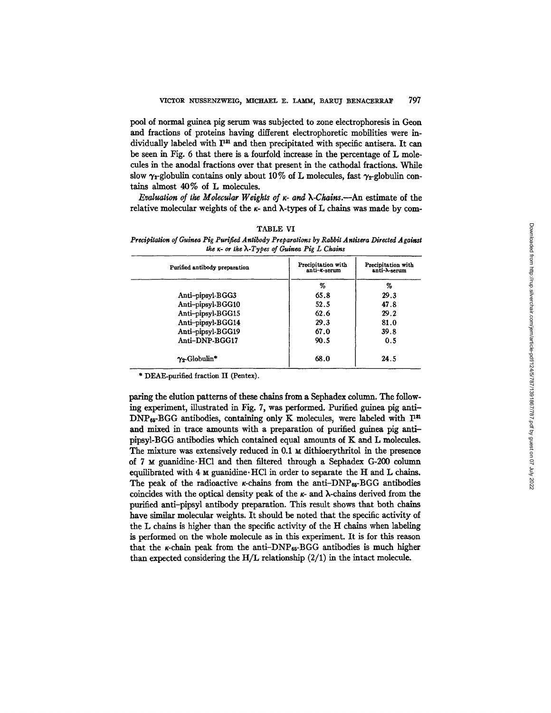pool of normal guinea pig serum was subjected to zone electrophoresis in Geon and fractions of proteins having different electrophoretic mobilities were individually labeled with I<sup>131</sup> and then precipitated with specific antisera. It can be seen in Fig. 6 that there is a fourfold increase in the percentage of L molecules in the anodal fractions over that present in the cathodal fractions. While slow  $\gamma_2$ -globulin contains only about 10% of L molecules, fast  $\gamma_2$ -globulin contains almost  $40\%$  of L molecules.

*Evaluation of the Molecular Weights of x- and ),-Chains.--An* estimate of the relative molecular weights of the  $\kappa$ - and  $\lambda$ -types of L chains was made by com-

|--|

*Precipitation of Guinea Pig Purified Antibody Preparations by Rabbit A ntisera Directed Against the g- or the X-Types of Guinea Pig L Chains* 

| Purified antibody preparation | Precipitation with<br>anti-x-serum | Precipitation with<br>anti- $\lambda$ -serum |
|-------------------------------|------------------------------------|----------------------------------------------|
|                               | %                                  | %                                            |
| Anti-pipsyl-BGG3              | 65.8                               | 29.3                                         |
| Anti-pipsyl-BGG10             | 52.5                               | 47.8                                         |
| Anti-pipsyl-BGG15             | 62.6                               | 29.2                                         |
| Anti-pipsyl-BGG14             | 29.3                               | 81.0                                         |
| Anti-pipsyl-BGG19             | 67.0                               | 39.8                                         |
| Anti-DNP-BGG17                | 90.5                               | 0.5                                          |
| $\gamma_2$ -Globulin*         | 68.0                               | 24.5                                         |

\* DEAE-purified fraction II (Pentex).

paring the elution patterns of these chains from a Sephadex column. The following experiment, illustrated in Fig. 7, was performed. Purified guinea pig anti- $DNP_{65}$ -BGG antibodies, containing only K molecules, were labeled with  $I<sup>31</sup>$ and mixed in trace amounts with a preparation of purified guinea pig antipipsyl-BGG antibodies which contained equal amounts of K and L molecules. The mixture was extensively reduced in 0.1  $\times$  dithioerythritol in the presence of 7  $\times$  guanidine. HCl and then filtered through a Sephadex G-200 column equilibrated with 4  $\mu$  guanidine. HCl in order to separate the H and L chains. The peak of the radioactive  $\kappa$ -chains from the anti-DNP<sub>65</sub>-BGG antibodies coincides with the optical density peak of the  $\kappa$ - and  $\lambda$ -chains derived from the purified anti-pipsyl antibody preparation. This result shows that both chains have similar molecular weights. It should be noted that the specific activity of the L chains is higher than the specific activity of the H chains when labeling is performed on the whole molecule as in this experiment. It is for this reason that the  $\kappa$ -chain peak from the anti-DNP<sub>65</sub>-BGG antibodies is much higher than expected considering the  $H/L$  relationship  $(2/1)$  in the intact molecule.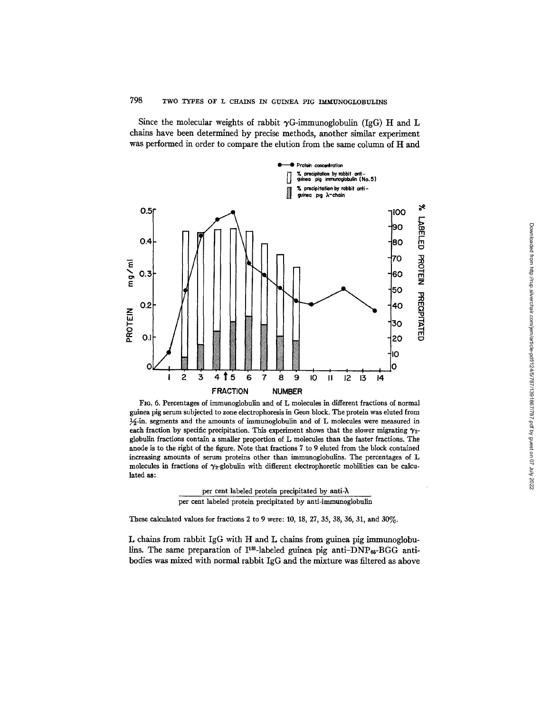Since the molecular weights of rabbit  $\gamma G$ -immunoglobulin (IgG) H and L chains have been determined by precise methods, another similar experiment was performed in order to compare the elution from the same column of H and



FIo. 6. Percentages of immunoglobulin and of L molecules in different fractions of normal guinea pig serum subjected to zone electrophoresis in Geon block. The protein was eluted from  $\frac{1}{2}$ -in. segments and the amounts of immunoglobulin and of L molecules were measured in each fraction by specific precipitation. This experiment shows that the slower migrating  $\gamma_{2}$ globulin fractions contain a smaller proportion of L molecules than the faster fractions. The anode is to the right of the figure. Note that fractions 7 to 9 eluted from the block contained increasing amounts of serum proteins other than immunoglobulins. The percentages of L molecules in fractions of  $\gamma_2$ -globulin with different electrophoretic mobilities can be calculated as:

per cent labeled protein precipitated by anti-X per cent labeled protein precipitated by anti-immunoglobulin

These calculated values for fractions 2 to 9 were: 10, 18, 27, 35, 38, 36, 31, and 30%.

L chains from rabbit IgG with H and L chains from guinea pig immunoglobulins. The same preparation of  $I^{131}$ -labeled guinea pig anti-DNP<sub>65</sub>-BGG antibodies was mixed with normal rabbit IgG and the mixture was filtered as above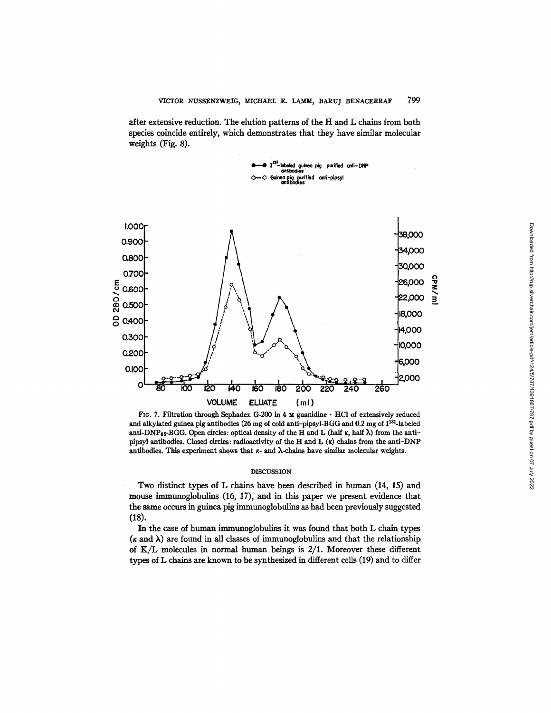after extensive reduction. The elution pattems of the H and L chains from both species coincide entirely, which demonstrates that they have similar molecular weights (Fig. 8).



FIG. 7. Filtration through Sephadex G-200 in 4  $\texttt{M}$  guanidine  $\cdot$  HCl of extensively reduced and alkylated guinea pig antibodies (26 mg of cold anti-pipsyl-BGG and 0.2 mg of I<sup>131</sup>-labeled anti-DNP<sub>65</sub>-BGG. Open circles: optical density of the H and L (half  $\kappa$ , half  $\lambda$ ) from the antipipsyl antibodies. Closed circles: radioactivity of the H and L (K) chains from the anti-DNP antibodies. This experiment shows that  $\kappa$ - and  $\lambda$ -chains have similar molecular weights.

## DISCUSSION

Two distinct types of L chains have been described in human (14, 15) and mouse immunoglobulins (16, 17), and in this paper we present evidence that the same occurs in guinea pig immunoglobulins as had been previously suggested (18).

In the case of human immunoglobulins it was found that both L chain types  $(k \text{ and } \lambda)$  are found in all classes of immunoglobulins and that the relationship of  $K/L$  molecules in normal human beings is  $2/1$ . Moreover these different types of L chains are known to be synthesized in different cells (19) and to differ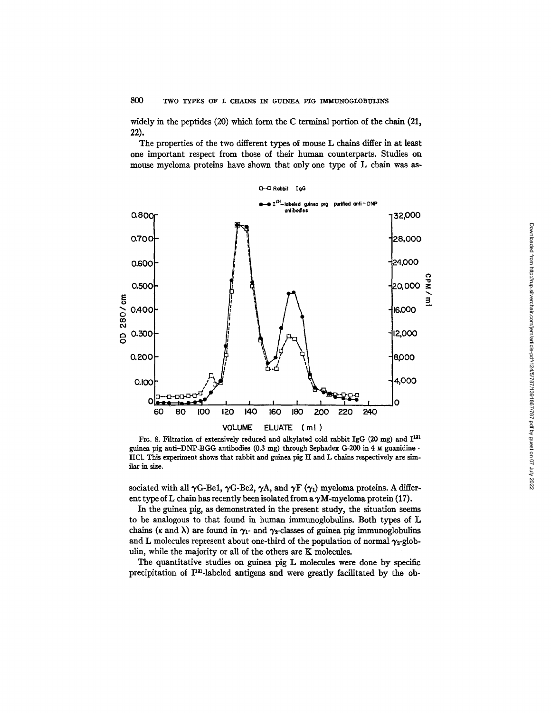widely in the peptides (20) which form the C terminal portion of the chain (21, 22).

The properties of the two different types of mouse L chains differ in at least one important respect from those of their human counterparts. Studies on mouse myeloma proteins have shown that only one type of L chain was as-



FIG. 8. Filtration of extensively reduced and alkylated cold rabbit IgG (20 mg) and  $I^{131}$ guinea pig anti-DNP-BGG antibodies  $(0.3 \text{ mg})$  through Sephadex G-200 in 4  $\text{M}$  guanidine  $\cdot$ HC1. This experiment shows that rabbit and guinea pig H and L chains respectively are similar in size.

sociated with all  $\gamma$ G-Be1,  $\gamma$ G-Be2,  $\gamma$ A, and  $\gamma$ F ( $\gamma$ <sub>1</sub>) myeloma proteins. A different type of L chain has recently been isolated from a  $\gamma$ M-myeloma protein (17).

In the guinea pig, as demonstrated in the present study, the situation seems to be analogous to that found in human immunoglobulins. Both types of L chains ( $\kappa$  and  $\lambda$ ) are found in  $\gamma_1$ - and  $\gamma_2$ -classes of guinea pig immunoglobulins and L molecules represent about one-third of the population of normal  $\gamma_2$ -globulin, while the majority or all of the others are K molecules.

The quantitative studies on guinea pig L molecules were done by specific precipitation of  $\Gamma^{131}$ -labeled antigens and were greatly facilitated by the ob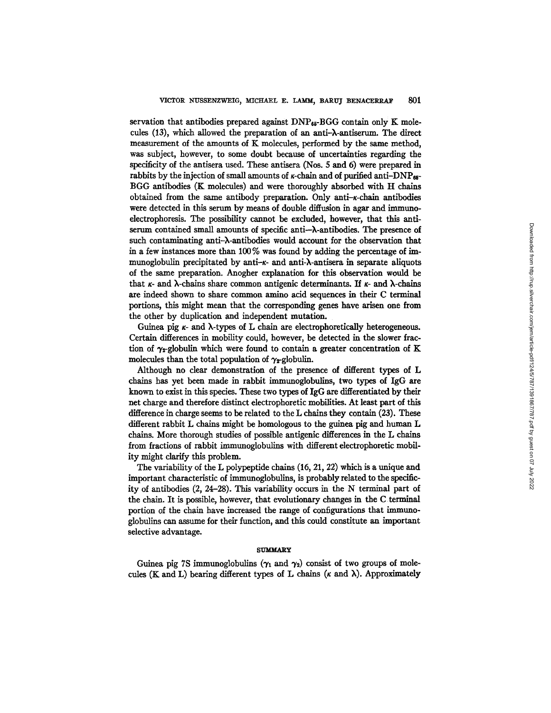servation that antibodies prepared against  $\text{DNP}_{65}\text{-BGG}$  contain only K molecules (13), which allowed the preparation of an anti-X-antiserum. The direct measurement of the amounts of K molecules, performed by the same method, was subject, however, to some doubt because of uncertainties regarding the specificity of the antisera used. These antisera (Nos. 5 and 6) were prepared in rabbits by the injection of small amounts of  $\kappa$ -chain and of purified anti-DNP<sub>65</sub>-BGG antibodies (K molecules) and were thoroughly absorbed with H chains obtained from the same antibody preparation. Only anti $-\kappa$ -chain antibodies were detected in this serum by means of double diffusion in agar and immunoelectrophoresis. The possibility cannot be excluded, however, that this antiserum contained small amounts of specific anti--X-antibodies. The presence of such contaminating anti-X-antibodies would account for the observation that in a few instances more than 100% was found by adding the percentage of immunoglobulin precipitated by anti- $\kappa$ - and anti- $\lambda$ -antisera in separate aliquots of the same preparation. Anogher explanation for this observation would be that  $\kappa$ - and  $\lambda$ -chains share common antigenic determinants. If  $\kappa$ - and  $\lambda$ -chains are indeed shown to share common amino acid sequences in their C terminal portions, this might mean that the corresponding genes have arisen one from the other by duplication and independent mutation.

Guinea pig  $\kappa$ - and  $\lambda$ -types of L chain are electrophoretically heterogeneous. Certain differences in mobility could, however, be detected in the slower fraction of  $\gamma_{2}$ -globulin which were found to contain a greater concentration of K molecules than the total population of  $\gamma_{x}$ -globulin.

Although no clear demonstration of the presence of different types of L chains has yet been made in rabbit immunoglobulins, two types of IgG are known to exist in this species. These two types of IgG are differentiated by their net charge and therefore distinct electrophoretic mobilities. At least part of this difference in charge seems to be related to the L chains they contain (23). These different rabbit L chains might be homologous to the guinea pig and human L chains. More thorough studies of possible antigenic differences in the L chains from fractions of rabbit immunoglobulins with different electrophoretic mobility might clarify this problem.

The variability of the L polypeptide chains (16, 21, 22) which is a unique and important characteristic of jmmunoglobullns, is probably related to the specificity of antibodies  $(2, 24-28)$ . This variability occurs in the N terminal part of the chain. It is possible, however, that evolutionary changes in the  $C$  terminal portion of the chain have increased the range of configurations that immunoglobulins can assume for their function, and this could constitute an important selective advantage.

#### **SUMMARY**

Guinea pig 7S immunoglobulins ( $\gamma_1$  and  $\gamma_2$ ) consist of two groups of molecules (K and L) bearing different types of L chains ( $\kappa$  and  $\lambda$ ). Approximately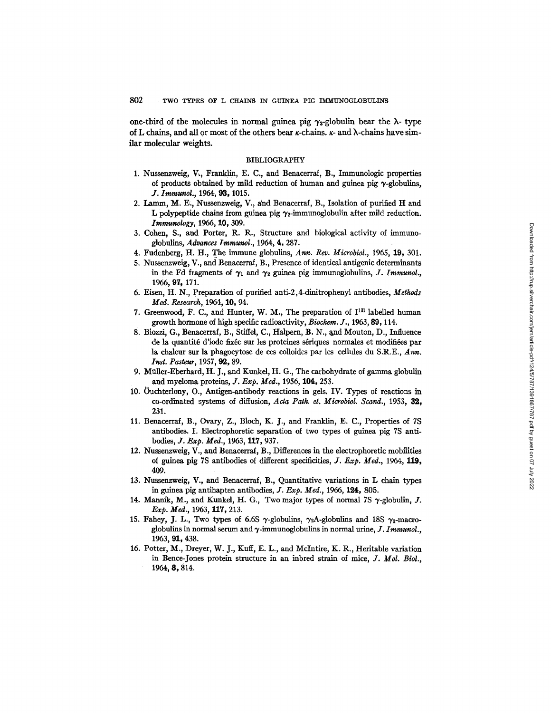one-third of the molecules in normal guinea pig  $\gamma_2$ -globulin bear the  $\lambda$ - type of L chains, and all or most of the others bear  $\kappa$ -chains.  $\kappa$ - and  $\lambda$ -chains have similar molecular weights.

## BIBLIOGRAPHY

- 1. Nussenzweig, V., Franklin, E. C., and Benacerraf, B., Immunologic properties of products obtained by mild reduction of human and guinea pig  $\gamma$ -globulins, *J. Immunol.,* 1964, 93, 1015.
- 2. Lamm, M. E:, Nussenzweig, V., ahd Benacerraf, B., Isolation of purified H and L polypeptide chains from guinea pig  $\gamma_2$ -immunoglobulin after mild reduction. *Immunology,* 1966, I0, 309.
- 3. Cohen, S., and Porter, R. R., Structure and biological activity of immunoglobulln~ *Advances Immunol.,* 1964, 4, 287.
- 4. Fudenberg, H. H., The immune globulins, *Ann. Rev. Microbiol.,* 1965, 19, 301.
- 5. Nussenzweig, V., and Benacerraf, B., Presence of identical antigenic determinants in the Fd fragments of  $\gamma_1$  and  $\gamma_2$  guinea pig immunoglobulins, *J. Immunol.*, 1966, 97, 171.
- 6. Eisen, H. N., Preparation of purified anti-2,4-dinitrophenyl antibodies, *Methods Med. Research,* 1964, 10, 94.
- 7. Greenwood, F. C., and Hunter, W. M., The preparation of  $I^{131}$ -labelled human growth hormone of high specific radioactivity, *Biochera. J.,* 1963, 89, 114.
- 8. Biozzi, G., Benacerraf, B., Stiffel, C., Halpern, B. N., and Mouton, D., Influence de la quantité d'iode fixée sur les proteines sériques normales et modifiées par la chaleur sur la phagocytose de ces colloides par les cellules du S.R.E., Ann. *Inst. Pasteur, 1957, 92, 89.*
- 9. Miiller-Eberhard, H. *J.,* and Kunkel, H. G., The carbohydrate of gamma globulin and myeloma proteins, *J. Exp. Med.,* 1956, 104, 253.
- 10. 0uchterlony, O., Antigen-antibody reactions in gels. IV. Types of reactions in co-ordinated systems of diffusion, *Acta Path. et. Microbiol. Scand.,* 1953, 82, 231.
- 11. Benacerraf, B., Ovary, Z., Bloch, K. J., and Franklin, E. C., Properties of 7S antibodies. I. Electrophoretic separation of two types of guinea pig 7S antibodies, *J. Exp. Med.*, 1963, 117, 937.
- 12. Nussenzweig, V., and Benacerraf, B., Differences in the electrophoretic mobilities of guinea pig 7S antibodies of different specificifies, *J. Exp. Med.,* 1964, 119, 409.
- 13. Nussenzweig, V., and Benacerraf, B., Quantitative variations in L chain types in guinea pig antihapten antibodies, *J. Exp. Med.,* 1966, 124, 805.
- 14. Mannik, M., and Kunkel, H. G., Two major types of normal 7S  $\gamma$ -globulin, J. *Exp. Med.,* 1963, 117, 213.
- 15. Fahey, J. L., Two types of 6.6S  $\gamma$ -globulins,  $\gamma_2$ A-globulins and 18S  $\gamma_1$ -macroglobulins in normal serum and  $\gamma$ -immunoglobulins in normal urine,  $J$ . Immunol., 1963, 91, 438.
- 16. Potter, M., Dreyer, W. J., Kuff, E. L., and Mclntire, K. R., Heritable variation in Bence-Jones protein structure in an inbred strain of mice, *J. Mol. Biol.,*  1964, 8, 814.